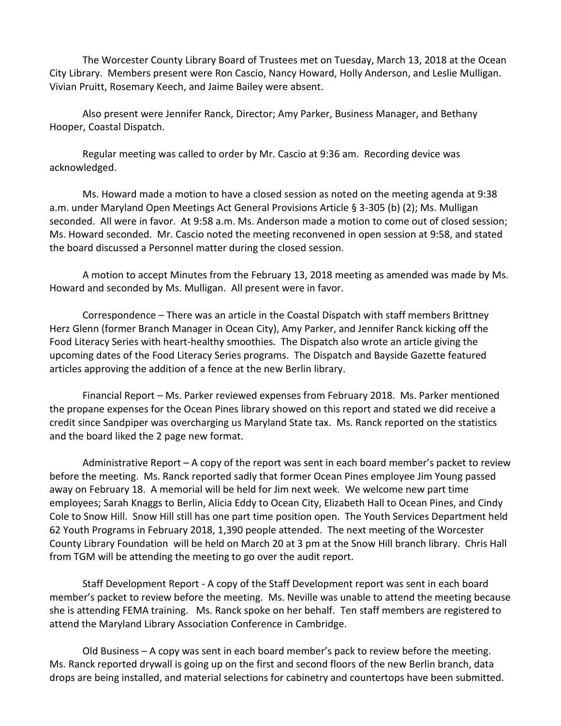The Worcester County Library Board of Trustees met on Tuesday, March 13, 2018 at the Ocean City Library. Members present were Ron Cascio, Nancy Howard, Holly Anderson, and Leslie Mulligan. Vivian Pruitt, Rosemary Keech, and Jaime Bailey were absent.

Also present were Jennifer Ranck, Director; Amy Parker, Business Manager, and Bethany Hooper, Coastal Dispatch.

Regular meeting was called to order by Mr. Cascio at 9:36 am. Recording device was acknowledged.

Ms. Howard made a motion to have a closed session as noted on the meeting agenda at 9:38 a.m. under Maryland Open Meetings Act General Provisions Article § 3-305 (b) (2); Ms. Mulligan seconded. All were in favor. At 9:58 a.m. Ms. Anderson made a motion to come out of closed session; Ms. Howard seconded. Mr. Cascio noted the meeting reconvened in open session at 9:58, and stated the board discussed a Personnel matter during the closed session.

A motion to accept Minutes from the February 13, 2018 meeting as amended was made by Ms. Howard and seconded by Ms. Mulligan. All present were in favor.

Correspondence – There was an article in the Coastal Dispatch with staff members Brittney Herz Glenn (former Branch Manager in Ocean City), Amy Parker, and Jennifer Ranck kicking off the Food Literacy Series with heart-healthy smoothies. The Dispatch also wrote an article giving the upcoming dates of the Food Literacy Series programs. The Dispatch and Bayside Gazette featured articles approving the addition of a fence at the new Berlin library.

Financial Report – Ms. Parker reviewed expenses from February 2018. Ms. Parker mentioned the propane expenses for the Ocean Pines library showed on this report and stated we did receive a credit since Sandpiper was overcharging us Maryland State tax. Ms. Ranck reported on the statistics and the board liked the 2 page new format.

Administrative Report – A copy of the report was sent in each board member's packet to review before the meeting. Ms. Ranck reported sadly that former Ocean Pines employee Jim Young passed away on February 18. A memorial will be held for Jim next week. We welcome new part time employees; Sarah Knaggs to Berlin, Alicia Eddy to Ocean City, Elizabeth Hall to Ocean Pines, and Cindy Cole to Snow Hill. Snow Hill still has one part time position open. The Youth Services Department held 62 Youth Programs in February 2018, 1,390 people attended. The next meeting of the Worcester County Library Foundation will be held on March 20 at 3 pm at the Snow Hill branch library. Chris Hall from TGM will be attending the meeting to go over the audit report.

Staff Development Report - A copy of the Staff Development report was sent in each board member's packet to review before the meeting. Ms. Neville was unable to attend the meeting because she is attending FEMA training. Ms. Ranck spoke on her behalf. Ten staff members are registered to attend the Maryland Library Association Conference in Cambridge.

Old Business – A copy was sent in each board member's pack to review before the meeting. Ms. Ranck reported drywall is going up on the first and second floors of the new Berlin branch, data drops are being installed, and material selections for cabinetry and countertops have been submitted.